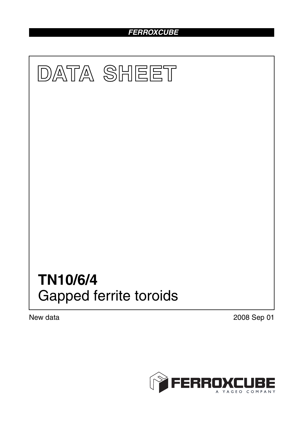## *FERROXCUBE*



New data 2008 Sep 01

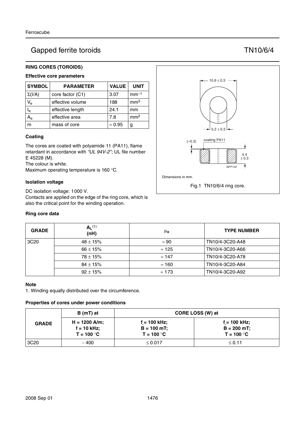# Gapped ferrite toroids TN10/6/4

### **RING CORES (TOROIDS)**

## **Effective core parameters**

| <b>SYMBOL</b>           | <b>PARAMETER</b> | <b>VALUE</b>   | <b>UNIT</b>     |
|-------------------------|------------------|----------------|-----------------|
| $\Sigma(I/A)$           | core factor (C1) | 3.07           | $mm-1$          |
| $V_{\rm e}$             | effective volume | 188            | mm <sup>3</sup> |
| $\mathsf{I}_\mathsf{e}$ | effective length | 24.1           | mm              |
|                         | effective area   | 7.8            | mm <sup>2</sup> |
|                         | mass of core     | $\approx 0.95$ | g               |

#### **Coating**

The cores are coated with polyamide 11 (PA11), flame retardant in accordance with *"UL 94V-2"*; UL file number E 45228 (M).

The colour is white.

Maximum operating temperature is 160 °C.

#### **Isolation voltage**

DC isolation voltage: 1000 V. Contacts are applied on the edge of the ring core, which is also the critical point for the winding operation.

#### **Ring core data**



| <b>GRADE</b>     | $A_L^{(1)}$<br>(nH) | μe            | <b>TYPE NUMBER</b> |
|------------------|---------------------|---------------|--------------------|
| 3C <sub>20</sub> | $48 \pm 15\%$       | $\approx 90$  | TN10/4-3C20-A48    |
|                  | $66 \pm 15\%$       | $\approx$ 125 | TN10/4-3C20-A66    |
|                  | $78 \pm 15\%$       | $\approx$ 147 | TN10/4-3C20-A78    |
|                  | $84 \pm 15\%$       | $\approx$ 160 | TN10/4-3C20-A84    |
|                  | $92 \pm 15\%$       | $\approx$ 173 | TN10/4-3C20-A92    |

#### **Note**

1. Winding equally distributed over the circumference.

#### **Properties of cores under power conditions**

|                  | B (mT) at                                        | CORE LOSS (W) at                              |                                                 |  |
|------------------|--------------------------------------------------|-----------------------------------------------|-------------------------------------------------|--|
| <b>GRADE</b>     | $H = 1200$ A/m;<br>$f = 10$ kHz;<br>$T = 100 °C$ | f = 100 kHz;<br>$B = 100$ mT;<br>$T = 100 °C$ | $f = 100$ kHz;<br>$B = 200$ mT;<br>$T = 100 °C$ |  |
| 3C <sub>20</sub> | ~100                                             | $\leq$ 0.017                                  | $\leq$ 0.11                                     |  |